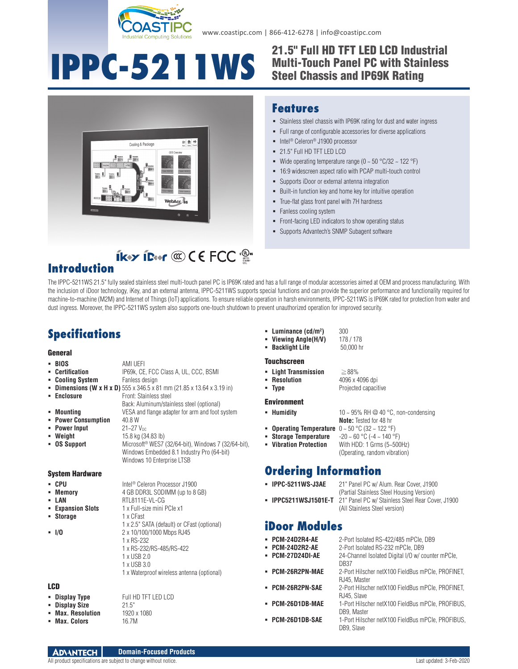

# **IPPC-5211WS**

#### 21.5" Full HD TFT LED LCD Industrial Multi-Touch Panel PC with Stainless Steel Chassis and IP69K Rating



#### **Features**

- Stainless steel chassis with IP69K rating for dust and water ingress
- Full range of configurable accessories for diverse applications
- Intel<sup>®</sup> Celeron<sup>®</sup> J1900 processor
- 21.5" Full HD TFT LED LCD
- Wide operating temperature range ( $0 \sim 50 \degree C/32 \sim 122 \degree F$ )
- 16:9 widescreen aspect ratio with PCAP multi-touch control
- Supports iDoor or external antenna integration
- Built-in function key and home key for intuitive operation
- True-flat glass front panel with 7H hardness
- Fanless cooling system
- Front-facing LED indicators to show operating status
- **Supports Advantech's SNMP Subagent software**

#### **IKY IDAY COCE FCC Introduction**

The IPPC-5211WS 21.5" fully sealed stainless steel multi-touch panel PC is IP69K rated and has a full range of modular accessories aimed at OEM and process manufacturing. With the inclusion of iDoor technology, iKey, and an external antenna, IPPC-5211WS supports special functions and can provide the superior performance and functionality required for machine-to-machine (M2M) and Internet of Things (IoT) applications. To ensure reliable operation in harsh environments, IPPC-5211WS is IP69K rated for protection from water and dust ingress. Moreover, the IPPC-5211WS system also supports one-touch shutdown to prevent unauthorized operation for improved security.

## **Specifications**

#### **General**

|     | - BIOS                 | AMI UEFI                                                                    |  |
|-----|------------------------|-----------------------------------------------------------------------------|--|
|     | • Certification        | IP69k, CE, FCC Class A, UL, CCC, BSMI                                       |  |
|     | • Cooling System       | Fanless design                                                              |  |
|     |                        | <b>Dimensions (W x H x D)</b> 555 x 346.5 x 81 mm (21.85 x 13.64 x 3.19 in) |  |
|     | • Enclosure            | Front: Stainless steel                                                      |  |
|     |                        | Back: Aluminum/stainless steel (optional)                                   |  |
|     | • Mounting             | VESA and flange adapter for arm and foot system                             |  |
|     | • Power Consumption    | 40.8 W                                                                      |  |
|     | • Power Input          | $21 - 27$ V <sub>nc</sub>                                                   |  |
|     | • Weight               | 15.8 kg (34.83 lb)                                                          |  |
|     | <b>- OS Support</b>    | Microsoft <sup>®</sup> WES7 (32/64-bit), Windows 7 (32/64-bit),             |  |
|     |                        | Windows Embedded 8.1 Industry Pro (64-bit)                                  |  |
|     |                        | Windows 10 Enterprise LTSB                                                  |  |
|     |                        |                                                                             |  |
|     | <b>System Hardware</b> |                                                                             |  |
|     | • CPU                  | Intel <sup>®</sup> Celeron Processor J1900                                  |  |
|     | • Memory               | 4 GB DDR3L SODIMM (up to 8 GB)                                              |  |
|     | - LAN                  | RTL8111E-VL-CG                                                              |  |
|     | <b>Expansion Slots</b> | 1 x Full-size mini PCIe x1                                                  |  |
|     | • Storage              | 1 x CFast                                                                   |  |
|     |                        | 1 x 2.5" SATA (default) or CFast (optional)                                 |  |
|     | $-1/0$                 | 2 x 10/100/1000 Mbps RJ45                                                   |  |
|     |                        | 1 x RS-232                                                                  |  |
|     |                        | 1 x RS-232/RS-485/RS-422                                                    |  |
|     |                        | 1 x USB 2.0                                                                 |  |
|     |                        | 1 x USB 3.0                                                                 |  |
|     |                        | 1 x Waterproof wireless antenna (optional)                                  |  |
|     |                        |                                                                             |  |
| LCD |                        |                                                                             |  |
|     | • Display Type         | Full HD TFT LED LCD                                                         |  |
|     | <b>- Display Size</b>  | 21.5"                                                                       |  |
|     | • Max. Resolution      | 1920 x 1080                                                                 |  |
|     | • Max. Colors          | 16.7M                                                                       |  |

| × | Luminance $(cd/m2)$ | 30 |
|---|---------------------|----|
|   |                     |    |

```
) 300
• Viewing Angle(H/V)
 Backlight Life 50,000 hr
```
#### Touchscreen

- 
- 

#### Environment

- **Humidity**  $10 \sim 95\% \text{ RH} \textcircled{2} 40 \text{ °C}$ , non-condensing
- 
- **Operating Temperature** 0 ~ 50 °C (32 ~ 122 °F)
- **Storage Temperature**  $-20 \sim 60 \degree C$  ( $-4 \sim 140 \degree F$ )<br>**Vibration Protection** With HDD: 1 Grms (5~500)
	- With HDD: 1 Grms (5~500Hz) (Operating, random vibration)

**Note:** Tested for 48 hr

#### **Ordering Information**

- (Partial Stainless Steel Housing Version) **IPPC5211WSJ1501E-T** 21" Panel PC w/ Stainless Steel Rear Cover, J1900
	- (All Stainless Steel version)

#### **iDoor Modules**

- **PCM-24D2R4-AE** 2-Port Isolated RS-422/485 mPCIe, DB9
- **PCM-24D2R2-AE** 2-Port Isolated RS-232 mPCIe, DB9
- **PCM-27D24DI-AE** 24-Channel Isolated Digital I/O w/ counter mPCIe, DB<sub>37</sub>
- **PCM-26R2PN-MAE** 2-Port Hilscher netX100 FieldBus mPCIe, PROFINET, RJ45, Master
- **PCM-26R2PN-SAE** 2-Port Hilscher netX100 FieldBus mPCIe, PROFINET, RJ45, Slave
- **PCM-26D1DB-MAE** 1-Port Hilscher netX100 FieldBus mPCIe, PROFIBUS, DB9, Master
- **PCM-26D1DB-SAE** 1-Port Hilscher netX100 FieldBus mPCIe, PROFIBUS, DB9, Slave

 **Light Transmission** ≧88% **Resolution** 4096 x 4096 dpi **Type Projected capacitive** 

- 
- 
- -

- - **IPPC-5211WS-J3AE** 21" Panel PC w/ Alum. Rear Cover, J1900